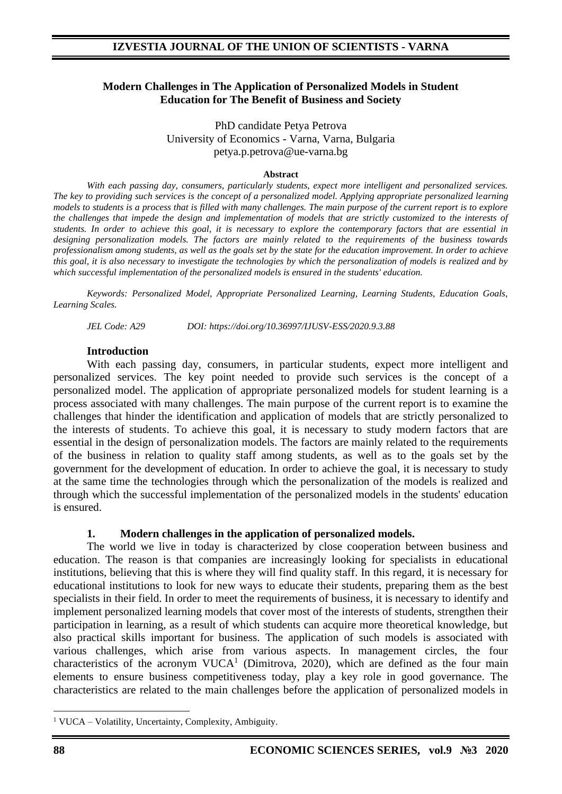### **Modern Challenges in The Application of Personalized Models in Student Education for The Benefit of Business and Society**

PhD candidate Petya Petrova University of Economics - Varna, Varna, Bulgaria petya.p.petrova@ue-varna.bg

#### **Abstract**

*With each passing day, consumers, particularly students, expect more intelligent and personalized services. The key to providing such services is the concept of a personalized model. Applying appropriate personalized learning models to students is a process that is filled with many challenges. The main purpose of the current report is to explore the challenges that impede the design and implementation of models that are strictly customized to the interests of students. In order to achieve this goal, it is necessary to explore the contemporary factors that are essential in designing personalization models. The factors are mainly related to the requirements of the business towards professionalism among students, as well as the goals set by the state for the education improvement. In order to achieve this goal, it is also necessary to investigate the technologies by which the personalization of models is realized and by which successful implementation of the personalized models is ensured in the students' education.*

*Keywords: Personalized Model, Appropriate Personalized Learning, Learning Students, Education Goals, Learning Scales.*

*JEL Code: A29 DOI: https://doi.org/10.36997/IJUSV-ESS/2020.9.3.88*

### **Introduction**

With each passing day, consumers, in particular students, expect more intelligent and personalized services. The key point needed to provide such services is the concept of a personalized model. The application of appropriate personalized models for student learning is a process associated with many challenges. The main purpose of the current report is to examine the challenges that hinder the identification and application of models that are strictly personalized to the interests of students. To achieve this goal, it is necessary to study modern factors that are essential in the design of personalization models. The factors are mainly related to the requirements of the business in relation to quality staff among students, as well as to the goals set by the government for the development of education. In order to achieve the goal, it is necessary to study at the same time the technologies through which the personalization of the models is realized and through which the successful implementation of the personalized models in the students' education is ensured.

## **1. Modern challenges in the application of personalized models.**

The world we live in today is characterized by close cooperation between business and education. The reason is that companies are increasingly looking for specialists in educational institutions, believing that this is where they will find quality staff. In this regard, it is necessary for educational institutions to look for new ways to educate their students, preparing them as the best specialists in their field. In order to meet the requirements of business, it is necessary to identify and implement personalized learning models that cover most of the interests of students, strengthen their participation in learning, as a result of which students can acquire more theoretical knowledge, but also practical skills important for business. The application of such models is associated with various challenges, which arise from various aspects. In management circles, the four characteristics of the acronym  $VUCA<sup>1</sup>$  (Dimitrova, 2020), which are defined as the four main elements to ensure business competitiveness today, play a key role in good governance. The characteristics are related to the main challenges before the application of personalized models in

<sup>1</sup> VUCA – Volatility, Uncertainty, Complexity, Ambiguity.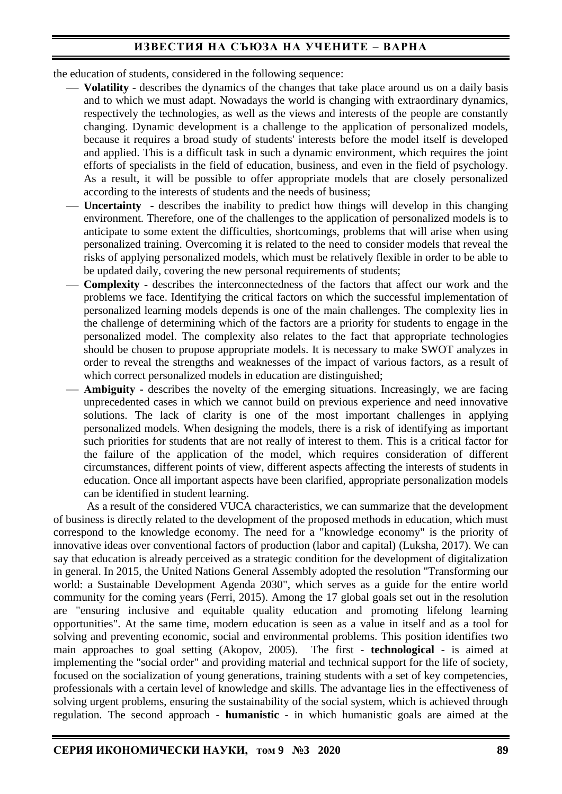the education of students, considered in the following sequence:

- **Volatility** describes the dynamics of the changes that take place around us on a daily basis and to which we must adapt. Nowadays the world is changing with extraordinary dynamics, respectively the technologies, as well as the views and interests of the people are constantly changing. Dynamic development is a challenge to the application of personalized models, because it requires a broad study of students' interests before the model itself is developed and applied. This is a difficult task in such a dynamic environment, which requires the joint efforts of specialists in the field of education, business, and even in the field of psychology. As a result, it will be possible to offer appropriate models that are closely personalized according to the interests of students and the needs of business;
- Uncertainty describes the inability to predict how things will develop in this changing environment. Therefore, one of the challenges to the application of personalized models is to anticipate to some extent the difficulties, shortcomings, problems that will arise when using personalized training. Overcoming it is related to the need to consider models that reveal the risks of applying personalized models, which must be relatively flexible in order to be able to be updated daily, covering the new personal requirements of students;
- **Complexity -** describes the interconnectedness of the factors that affect our work and the problems we face. Identifying the critical factors on which the successful implementation of personalized learning models depends is one of the main challenges. The complexity lies in the challenge of determining which of the factors are a priority for students to engage in the personalized model. The complexity also relates to the fact that appropriate technologies should be chosen to propose appropriate models. It is necessary to make SWOT analyzes in order to reveal the strengths and weaknesses of the impact of various factors, as a result of which correct personalized models in education are distinguished;
- Ambiguity **-** describes the novelty of the emerging situations. Increasingly, we are facing unprecedented cases in which we cannot build on previous experience and need innovative solutions. The lack of clarity is one of the most important challenges in applying personalized models. When designing the models, there is a risk of identifying as important such priorities for students that are not really of interest to them. This is a critical factor for the failure of the application of the model, which requires consideration of different circumstances, different points of view, different aspects affecting the interests of students in education. Once all important aspects have been clarified, appropriate personalization models can be identified in student learning.

As a result of the considered VUCA characteristics, we can summarize that the development of business is directly related to the development of the proposed methods in education, which must correspond to the knowledge economy. The need for a "knowledge economy" is the priority of innovative ideas over conventional factors of production (labor and capital) (Luksha, 2017). We can say that education is already perceived as a strategic condition for the development of digitalization in general. In 2015, the United Nations General Assembly adopted the resolution "Transforming our world: a Sustainable Development Agenda 2030", which serves as a guide for the entire world community for the coming years (Ferri, 2015). Among the 17 global goals set out in the resolution are "ensuring inclusive and equitable quality education and promoting lifelong learning opportunities". At the same time, modern education is seen as a value in itself and as a tool for solving and preventing economic, social and environmental problems. This position identifies two main approaches to goal setting (Akopov, 2005). The first - **technological** - is aimed at implementing the "social order" and providing material and technical support for the life of society, focused on the socialization of young generations, training students with a set of key competencies, professionals with a certain level of knowledge and skills. The advantage lies in the effectiveness of solving urgent problems, ensuring the sustainability of the social system, which is achieved through regulation. The second approach - **humanistic** - in which humanistic goals are aimed at the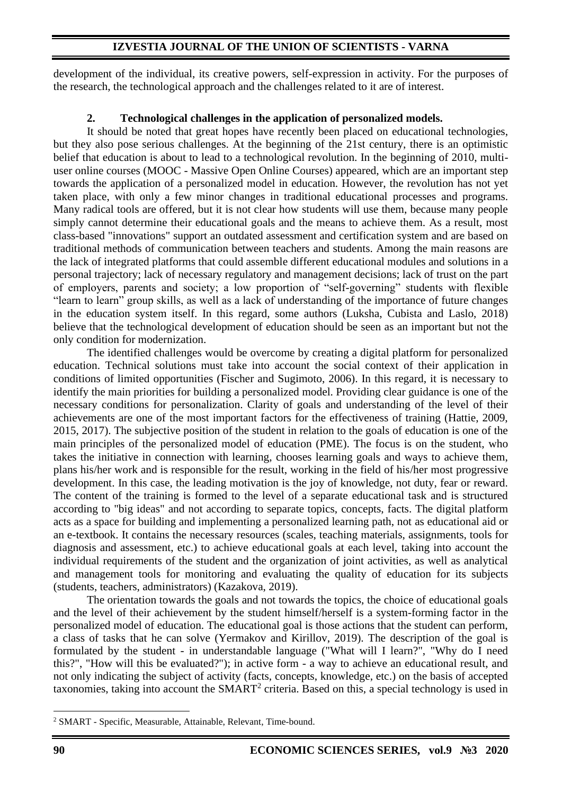## **IZVESTIA JOURNAL OF THE UNION OF SCIENTISTS - VARNA**

development of the individual, its creative powers, self-expression in activity. For the purposes of the research, the technological approach and the challenges related to it are of interest.

## **2. Technological challenges in the application of personalized models.**

It should be noted that great hopes have recently been placed on educational technologies, but they also pose serious challenges. At the beginning of the 21st century, there is an optimistic belief that education is about to lead to a technological revolution. In the beginning of 2010, multiuser online courses (MOOC - Massive Open Online Courses) appeared, which are an important step towards the application of a personalized model in education. However, the revolution has not yet taken place, with only a few minor changes in traditional educational processes and programs. Many radical tools are offered, but it is not clear how students will use them, because many people simply cannot determine their educational goals and the means to achieve them. As a result, most class-based "innovations" support an outdated assessment and certification system and are based on traditional methods of communication between teachers and students. Among the main reasons are the lack of integrated platforms that could assemble different educational modules and solutions in a personal trajectory; lack of necessary regulatory and management decisions; lack of trust on the part of employers, parents and society; a low proportion of "self-governing" students with flexible "learn to learn" group skills, as well as a lack of understanding of the importance of future changes in the education system itself. In this regard, some authors (Luksha, Cubista and Laslo, 2018) believe that the technological development of education should be seen as an important but not the only condition for modernization.

The identified challenges would be overcome by creating a digital platform for personalized education. Technical solutions must take into account the social context of their application in conditions of limited opportunities (Fischer and Sugimoto, 2006). In this regard, it is necessary to identify the main priorities for building a personalized model. Providing clear guidance is one of the necessary conditions for personalization. Clarity of goals and understanding of the level of their achievements are one of the most important factors for the effectiveness of training (Hattie, 2009, 2015, 2017). The subjective position of the student in relation to the goals of education is one of the main principles of the personalized model of education (PME). The focus is on the student, who takes the initiative in connection with learning, chooses learning goals and ways to achieve them, plans his/her work and is responsible for the result, working in the field of his/her most progressive development. In this case, the leading motivation is the joy of knowledge, not duty, fear or reward. The content of the training is formed to the level of a separate educational task and is structured according to "big ideas" and not according to separate topics, concepts, facts. The digital platform acts as a space for building and implementing a personalized learning path, not as educational aid or an e-textbook. It contains the necessary resources (scales, teaching materials, assignments, tools for diagnosis and assessment, etc.) to achieve educational goals at each level, taking into account the individual requirements of the student and the organization of joint activities, as well as analytical and management tools for monitoring and evaluating the quality of education for its subjects (students, teachers, administrators) (Kazakova, 2019).

The orientation towards the goals and not towards the topics, the choice of educational goals and the level of their achievement by the student himself/herself is a system-forming factor in the personalized model of education. The educational goal is those actions that the student can perform, a class of tasks that he can solve (Yermakov and Kirillov, 2019). The description of the goal is formulated by the student - in understandable language ("What will I learn?", "Why do I need this?", "How will this be evaluated?"); in active form - a way to achieve an educational result, and not only indicating the subject of activity (facts, concepts, knowledge, etc.) on the basis of accepted taxonomies, taking into account the SMART<sup>2</sup> criteria. Based on this, a special technology is used in

<sup>2</sup> SMART - Specific, Measurable, Attainable, Relevant, Time-bound.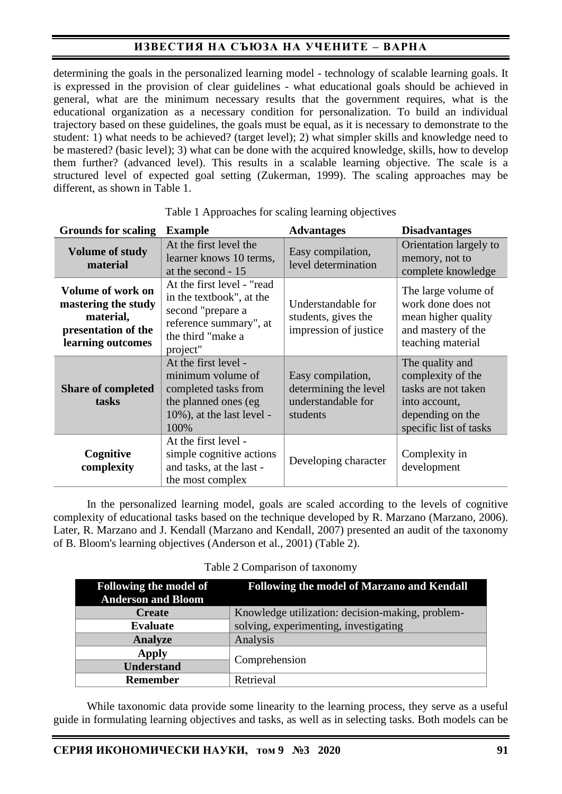determining the goals in the personalized learning model - technology of scalable learning goals. It is expressed in the provision of clear guidelines - what educational goals should be achieved in general, what are the minimum necessary results that the government requires, what is the educational organization as a necessary condition for personalization. To build an individual trajectory based on these guidelines, the goals must be equal, as it is necessary to demonstrate to the student: 1) what needs to be achieved? (target level); 2) what simpler skills and knowledge need to be mastered? (basic level); 3) what can be done with the acquired knowledge, skills, how to develop them further? (advanced level). This results in a scalable learning objective. The scale is a structured level of expected goal setting (Zukerman, 1999). The scaling approaches may be different, as shown in Table 1.

| <b>Grounds for scaling</b>                                                                               | <b>Example</b>                                                                                                                         | <b>Advantages</b>                                                            | <b>Disadvantages</b>                                                                                                       |
|----------------------------------------------------------------------------------------------------------|----------------------------------------------------------------------------------------------------------------------------------------|------------------------------------------------------------------------------|----------------------------------------------------------------------------------------------------------------------------|
| <b>Volume of study</b><br>material                                                                       | At the first level the<br>learner knows 10 terms,<br>at the second - 15                                                                | Easy compilation,<br>level determination                                     | Orientation largely to<br>memory, not to<br>complete knowledge                                                             |
| <b>Volume of work on</b><br>mastering the study<br>material,<br>presentation of the<br>learning outcomes | At the first level - "read<br>in the textbook", at the<br>second "prepare a<br>reference summary", at<br>the third "make a<br>project" |                                                                              | The large volume of<br>work done does not<br>mean higher quality<br>and mastery of the<br>teaching material                |
| <b>Share of completed</b><br>tasks                                                                       | At the first level -<br>minimum volume of<br>completed tasks from<br>the planned ones (eg)<br>$10\%$ ), at the last level -<br>100%    | Easy compilation,<br>determining the level<br>understandable for<br>students | The quality and<br>complexity of the<br>tasks are not taken<br>into account,<br>depending on the<br>specific list of tasks |
| Cognitive<br>complexity                                                                                  | At the first level -<br>simple cognitive actions<br>and tasks, at the last -<br>the most complex                                       | Developing character                                                         | Complexity in<br>development                                                                                               |

| Table 1 Approaches for scaling learning objectives |  |  |
|----------------------------------------------------|--|--|
|                                                    |  |  |

In the personalized learning model, goals are scaled according to the levels of cognitive complexity of educational tasks based on the technique developed by R. Marzano (Marzano, 2006). Later, R. Marzano and J. Kendall (Marzano and Kendall, 2007) presented an audit of the taxonomy of B. Bloom's learning objectives (Anderson et al., 2001) (Table 2).

#### Table 2 Comparison of taxonomy

| <b>Following the model of</b><br><b>Anderson and Bloom</b> | <b>Following the model of Marzano and Kendall</b> |  |
|------------------------------------------------------------|---------------------------------------------------|--|
| <b>Create</b>                                              | Knowledge utilization: decision-making, problem-  |  |
| <b>Evaluate</b>                                            | solving, experimenting, investigating             |  |
| <b>Analyze</b>                                             | Analysis                                          |  |
| <b>Apply</b>                                               |                                                   |  |
| <b>Understand</b>                                          | Comprehension                                     |  |
| Remember                                                   | Retrieval                                         |  |

While taxonomic data provide some linearity to the learning process, they serve as a useful guide in formulating learning objectives and tasks, as well as in selecting tasks. Both models can be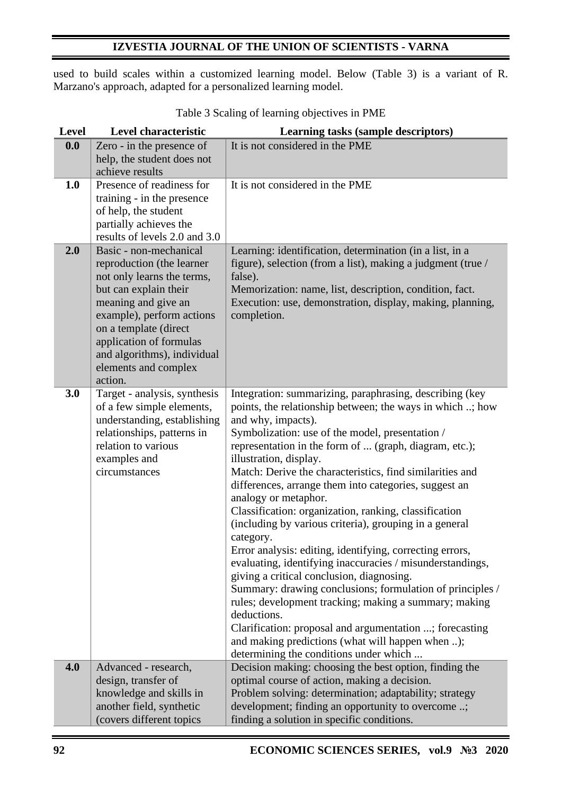## **IZVESTIA JOURNAL OF THE UNION OF SCIENTISTS - VARNA**

used to build scales within a customized learning model. Below (Table 3) is a variant of R. Marzano's approach, adapted for a personalized learning model.

| <b>Level</b> | Level characteristic          | Learning tasks (sample descriptors)                         |
|--------------|-------------------------------|-------------------------------------------------------------|
| 0.0          | Zero - in the presence of     | It is not considered in the PME                             |
|              | help, the student does not    |                                                             |
|              | achieve results               |                                                             |
| 1.0          | Presence of readiness for     | It is not considered in the PME                             |
|              | training - in the presence    |                                                             |
|              | of help, the student          |                                                             |
|              | partially achieves the        |                                                             |
|              | results of levels 2.0 and 3.0 |                                                             |
| 2.0          | Basic - non-mechanical        | Learning: identification, determination (in a list, in a    |
|              | reproduction (the learner     | figure), selection (from a list), making a judgment (true / |
|              | not only learns the terms,    | false).                                                     |
|              | but can explain their         | Memorization: name, list, description, condition, fact.     |
|              | meaning and give an           | Execution: use, demonstration, display, making, planning,   |
|              | example), perform actions     | completion.                                                 |
|              | on a template (direct         |                                                             |
|              | application of formulas       |                                                             |
|              | and algorithms), individual   |                                                             |
|              | elements and complex          |                                                             |
|              | action.                       |                                                             |
| 3.0          | Target - analysis, synthesis  | Integration: summarizing, paraphrasing, describing (key     |
|              | of a few simple elements,     | points, the relationship between; the ways in which ; how   |
|              | understanding, establishing   | and why, impacts).                                          |
|              | relationships, patterns in    | Symbolization: use of the model, presentation /             |
|              | relation to various           | representation in the form of  (graph, diagram, etc.);      |
|              | examples and                  | illustration, display.                                      |
|              | circumstances                 | Match: Derive the characteristics, find similarities and    |
|              |                               | differences, arrange them into categories, suggest an       |
|              |                               | analogy or metaphor.                                        |
|              |                               | Classification: organization, ranking, classification       |
|              |                               | (including by various criteria), grouping in a general      |
|              |                               | category.                                                   |
|              |                               | Error analysis: editing, identifying, correcting errors,    |
|              |                               | evaluating, identifying inaccuracies / misunderstandings,   |
|              |                               | giving a critical conclusion, diagnosing.                   |
|              |                               | Summary: drawing conclusions; formulation of principles /   |
|              |                               | rules; development tracking; making a summary; making       |
|              |                               | deductions.                                                 |
|              |                               | Clarification: proposal and argumentation ; forecasting     |
|              |                               | and making predictions (what will happen when );            |
|              |                               | determining the conditions under which                      |
| 4.0          | Advanced - research,          | Decision making: choosing the best option, finding the      |
|              | design, transfer of           | optimal course of action, making a decision.                |
|              | knowledge and skills in       | Problem solving: determination; adaptability; strategy      |
|              | another field, synthetic      | development; finding an opportunity to overcome ;           |
|              | (covers different topics      | finding a solution in specific conditions.                  |

Table 3 Scaling of learning objectives in PME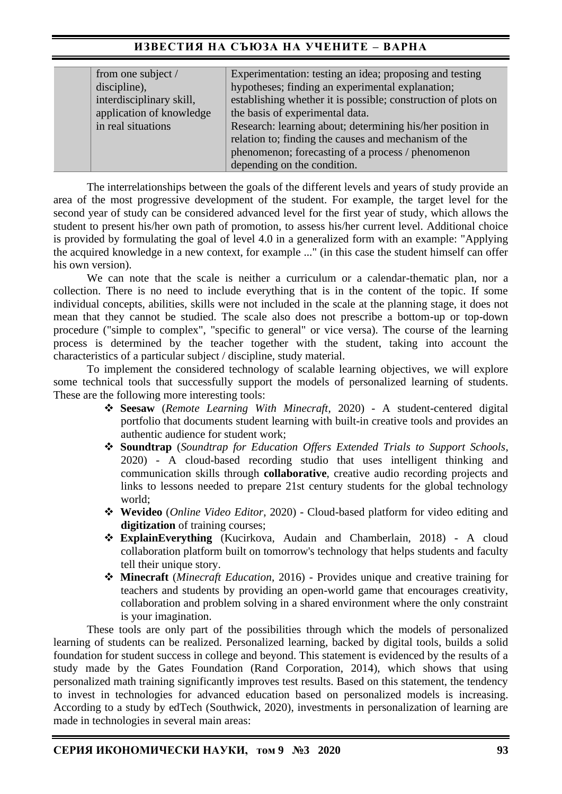| from one subject /       | Experimentation: testing an idea; proposing and testing       |
|--------------------------|---------------------------------------------------------------|
| discipline),             | hypotheses; finding an experimental explanation;              |
| interdisciplinary skill, | establishing whether it is possible; construction of plots on |
| application of knowledge | the basis of experimental data.                               |
| in real situations       | Research: learning about; determining his/her position in     |
|                          | relation to; finding the causes and mechanism of the          |
|                          | phenomenon; forecasting of a process / phenomenon             |
|                          | depending on the condition.                                   |

The interrelationships between the goals of the different levels and years of study provide an area of the most progressive development of the student. For example, the target level for the second year of study can be considered advanced level for the first year of study, which allows the student to present his/her own path of promotion, to assess his/her current level. Additional choice is provided by formulating the goal of level 4.0 in a generalized form with an example: "Applying the acquired knowledge in a new context, for example ..." (in this case the student himself can offer his own version).

We can note that the scale is neither a curriculum or a calendar-thematic plan, nor a collection. There is no need to include everything that is in the content of the topic. If some individual concepts, abilities, skills were not included in the scale at the planning stage, it does not mean that they cannot be studied. The scale also does not prescribe a bottom-up or top-down procedure ("simple to complex", "specific to general" or vice versa). The course of the learning process is determined by the teacher together with the student, taking into account the characteristics of a particular subject / discipline, study material.

To implement the considered technology of scalable learning objectives, we will explore some technical tools that successfully support the models of personalized learning of students. These are the following more interesting tools:

- ❖ **Seesaw** (*Remote Learning With Minecraft*, 2020) A student-centered digital portfolio that documents student learning with built-in creative tools and provides an authentic audience for student work;
- ❖ **Soundtrap** (*Soundtrap for Education Offers Extended Trials to Support Schools*, 2020) - A cloud-based recording studio that uses intelligent thinking and communication skills through **collaborative**, creative audio recording projects and links to lessons needed to prepare 21st century students for the global technology world;
- ❖ **Wevideo** (*Online Video Editor*, 2020) Cloud-based platform for video editing and **digitization** of training courses;
- ❖ **ExplainEverything** (Kucirkova, Audain and Chamberlain, 2018) A cloud collaboration platform built on tomorrow's technology that helps students and faculty tell their unique story.
- ❖ **Minecraft** (*Minecraft Education*, 2016) Provides unique and creative training for teachers and students by providing an open-world game that encourages creativity, collaboration and problem solving in a shared environment where the only constraint is your imagination.

These tools are only part of the possibilities through which the models of personalized learning of students can be realized. Personalized learning, backed by digital tools, builds a solid foundation for student success in college and beyond. This statement is evidenced by the results of a study made by the Gates Foundation (Rand Corporation, 2014), which shows that using personalized math training significantly improves test results. Based on this statement, the tendency to invest in technologies for advanced education based on personalized models is increasing. According to a study by edTech (Southwick, 2020), investments in personalization of learning are made in technologies in several main areas: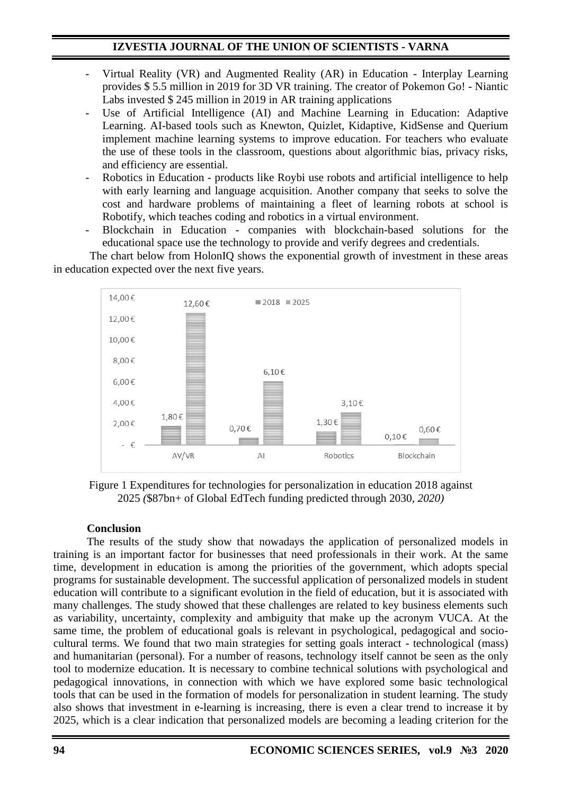- Virtual Reality (VR) and Augmented Reality (AR) in Education Interplay Learning provides \$ 5.5 million in 2019 for 3D VR training. The creator of Pokemon Go! - Niantic Labs invested \$ 245 million in 2019 in AR training applications
- Use of Artificial Intelligence (AI) and Machine Learning in Education: Adaptive Learning. AI-based tools such as Knewton, Quizlet, Kidaptive, KidSense and Querium implement machine learning systems to improve education. For teachers who evaluate the use of these tools in the classroom, questions about algorithmic bias, privacy risks, and efficiency are essential.
- Robotics in Education products like Roybi use robots and artificial intelligence to help with early learning and language acquisition. Another company that seeks to solve the cost and hardware problems of maintaining a fleet of learning robots at school is Robotify, which teaches coding and robotics in a virtual environment.
- Blockchain in Education companies with blockchain-based solutions for the educational space use the technology to provide and verify degrees and credentials.

The chart below from HolonIQ shows the exponential growth of investment in these areas in education expected over the next five years.



Figure 1 Expenditures for technologies for personalization in education 2018 against 2025 *(*\$87bn+ of Global EdTech funding predicted through 2030*, 2020)*

## **Conclusion**

The results of the study show that nowadays the application of personalized models in training is an important factor for businesses that need professionals in their work. At the same time, development in education is among the priorities of the government, which adopts special programs for sustainable development. The successful application of personalized models in student education will contribute to a significant evolution in the field of education, but it is associated with many challenges. The study showed that these challenges are related to key business elements such as variability, uncertainty, complexity and ambiguity that make up the acronym VUCA. At the same time, the problem of educational goals is relevant in psychological, pedagogical and sociocultural terms. We found that two main strategies for setting goals interact - technological (mass) and humanitarian (personal). For a number of reasons, technology itself cannot be seen as the only tool to modernize education. It is necessary to combine technical solutions with psychological and pedagogical innovations, in connection with which we have explored some basic technological tools that can be used in the formation of models for personalization in student learning. The study also shows that investment in e-learning is increasing, there is even a clear trend to increase it by 2025, which is a clear indication that personalized models are becoming a leading criterion for the